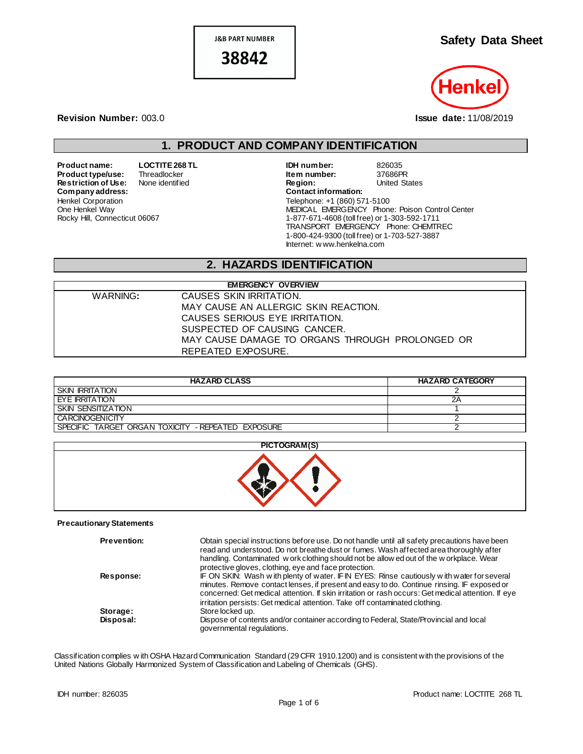**J&B PART NUMBER** 38842

## **Safety Data Sheet**



**Revision Number:** 003.0 **Issue date:** 11/08/2019

## **1. PRODUCT AND COMPANY IDENTIFICATION**

**Restriction of Use:** None identified **Region:** Region: United States Company address:  $Company address:$ Henkel Corporation One Henkel Way Rocky Hill, Connecticut 06067

**Product name: LOCTITE 268 TL IDH number:** 826035<br> **Product type/use:** Threadlocker **Internal Product 197686PR Product type/use:** Threadlocker **Interpretient Markow Theodore Item number:** 37686PR<br> **Restriction of Use:** None identified **Interpretient Construct Construct Construct** Constants Christed States Telephone: +1 (860) 571-5100 MEDICAL EMERGENCY Phone: Poison Control Center 1-877-671-4608 (toll free) or 1-303-592-1711 TRANSPORT EMERGENCY Phone: CHEMTREC 1-800-424-9300 (toll free) or 1-703-527-3887 Internet: w ww.henkelna.com

# **2. HAZARDS IDENTIFICATION**

| <b>EMERGENCY OVERVIEW</b> |                                                 |  |  |
|---------------------------|-------------------------------------------------|--|--|
| WARNING:                  | CAUSES SKIN IRRITATION.                         |  |  |
|                           | MAY CAUSE AN ALLERGIC SKIN REACTION.            |  |  |
|                           | CAUSES SERIOUS EYE IRRITATION.                  |  |  |
|                           | SUSPECTED OF CAUSING CANCER.                    |  |  |
|                           | MAY CAUSE DAMAGE TO ORGANS THROUGH PROLONGED OR |  |  |
|                           | REPEATED EXPOSURE.                              |  |  |

| <b>HAZARD CLASS</b>                                | <b>HAZARD CATEGORY</b> |
|----------------------------------------------------|------------------------|
| <b>SKIN IRRITATION</b>                             |                        |
| EYE IRRITATION                                     | 2Α                     |
| SKIN SENSITIZATION                                 |                        |
| <b>CARCINOGENICITY</b>                             |                        |
| SPECIFIC TARGET ORGAN TOXICITY - REPEATED EXPOSURE |                        |

| PICTOGRAM(S) |
|--------------|
|              |

#### **Precautionary Statements**

| <b>Prevention:</b> | Obtain special instructions before use. Do not handle until all safety precautions have been<br>read and understood. Do not breathe dust or fumes. Wash affected area thoroughly after<br>handling. Contaminated w ork clothing should not be allow ed out of the w orkplace. Wear                                                                                              |
|--------------------|---------------------------------------------------------------------------------------------------------------------------------------------------------------------------------------------------------------------------------------------------------------------------------------------------------------------------------------------------------------------------------|
|                    | protective gloves, clothing, eye and face protection.                                                                                                                                                                                                                                                                                                                           |
| Response:          | IF ON SKIN: Wash w ith plenty of water. IF IN EYES: Rinse cautiously w ith water for several<br>minutes. Remove contact lenses, if present and easy to do. Continue rinsing. IF exposed or<br>concerned: Get medical attention. If skin irritation or rash occurs: Get medical attention. If eye<br>irritation persists: Get medical attention. Take off contaminated clothing. |
| Storage:           | Store locked up.                                                                                                                                                                                                                                                                                                                                                                |
| Disposal:          | Dispose of contents and/or container according to Federal, State/Provincial and local<br>governmental regulations.                                                                                                                                                                                                                                                              |

Classification complies w ith OSHA Hazard Communication Standard (29 CFR 1910.1200) and is consistent with the provisions of the United Nations Globally Harmonized System of Classification and Labeling of Chemicals (GHS).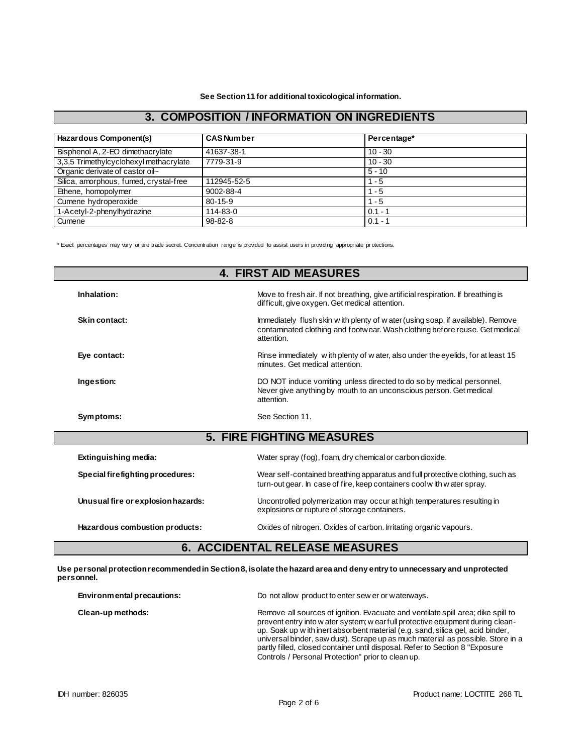**See Section 11 for additional toxicological information.**

#### **3. COMPOSITION / INFORMATION ON INGREDIENTS**

| Hazardous Component(s)                 | <b>CAS Number</b> | Percentage* |  |
|----------------------------------------|-------------------|-------------|--|
| Bisphenol A, 2-EO dimethacrylate       | 41637-38-1        | $10 - 30$   |  |
| 3,3,5 Trimethylcyclohexyl methacrylate | 7779-31-9         | $10 - 30$   |  |
| Organic derivate of castor oil~        |                   | $5 - 10$    |  |
| Silica, amorphous, fumed, crystal-free | 112945-52-5       | $1 - 5$     |  |
| Ethene, homopolymer                    | 9002-88-4         | $1 - 5$     |  |
| Cumene hydroperoxide                   | $80 - 15 - 9$     | $1 - 5$     |  |
| 1-Acetyl-2-phenylhydrazine             | 114-83-0          | $0.1 - 1$   |  |
| Cumene                                 | 98-82-8           | $0.1 - 1$   |  |

\* Exact percentages may vary or are trade secret. Concentration range is provided to assist users in providing appropriate pr otections.

| <b>4. FIRST AID MEASURES</b>       |                                                                                                                                                                               |  |  |  |
|------------------------------------|-------------------------------------------------------------------------------------------------------------------------------------------------------------------------------|--|--|--|
| Inhalation:                        | Move to fresh air. If not breathing, give artificial respiration. If breathing is<br>difficult, give oxygen. Get medical attention.                                           |  |  |  |
| Skin contact:                      | Immediately flush skin w ith plenty of w ater (using soap, if available). Remove<br>contaminated clothing and footwear. Wash clothing before reuse. Get medical<br>attention. |  |  |  |
| Eye contact:                       | Rinse immediately with plenty of water, also under the eyelids, for at least 15<br>minutes. Get medical attention.                                                            |  |  |  |
| Ingestion:                         | DO NOT induce vomiting unless directed to do so by medical personnel.<br>Never give anything by mouth to an unconscious person. Get medical<br>attention.                     |  |  |  |
| Symptoms:                          | See Section 11.                                                                                                                                                               |  |  |  |
| <b>5. FIRE FIGHTING MEASURES</b>   |                                                                                                                                                                               |  |  |  |
| Extinguishing media:               | Water spray (fog), foam, dry chemical or carbon dioxide.                                                                                                                      |  |  |  |
| Special firefighting procedures:   | Wear self-contained breathing apparatus and full protective clothing, such as<br>turn-out gear. In case of fire, keep containers cool with water spray.                       |  |  |  |
| Unusual fire or explosion hazards: | Uncontrolled polymerization may occur at high temperatures resulting in<br>explosions or rupture of storage containers.                                                       |  |  |  |
| Hazardous combustion products:     | Oxides of nitrogen. Oxides of carbon. Irritating organic vapours.                                                                                                             |  |  |  |

## **6. ACCIDENTAL RELEASE MEASURES**

**Use personal protection recommended in Section 8, isolate the hazard area and deny entry to unnecessary and unprotected personnel.**

| Environmental precautions: | Do not allow product to enter sew er or waterways.                                                                                                                                                                                                                                                                                                                                                                                                                              |  |
|----------------------------|---------------------------------------------------------------------------------------------------------------------------------------------------------------------------------------------------------------------------------------------------------------------------------------------------------------------------------------------------------------------------------------------------------------------------------------------------------------------------------|--|
| Clean-up methods:          | Remove all sources of ignition. Evacuate and ventilate spill area; dike spill to<br>prevent entry into w ater system; w ear full protective equipment during clean-<br>up. Soak up with inert absorbent material (e.g. sand, silica gel, acid binder,<br>universal binder, saw dust). Scrape up as much material as possible. Store in a<br>partly filled, closed container until disposal. Refer to Section 8 "Exposure"<br>Controls / Personal Protection" prior to clean up. |  |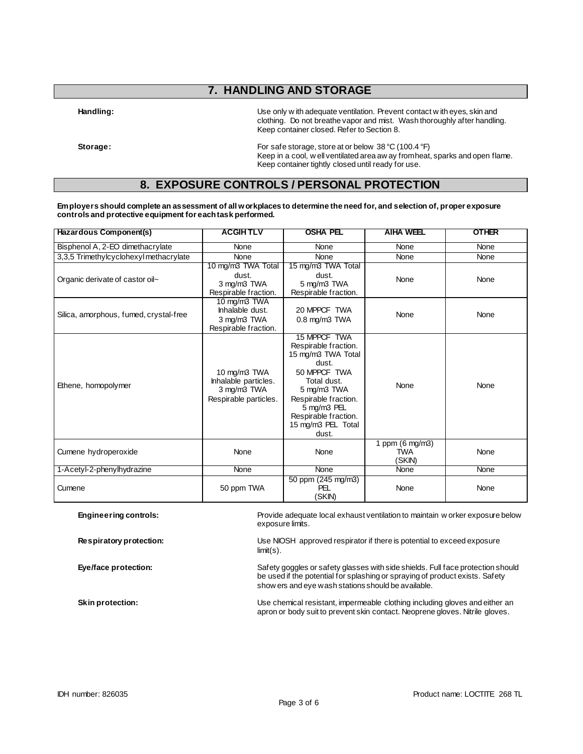## **7. HANDLING AND STORAGE**

Handling: **Handling:** Use only w ith adequate ventilation. Prevent contact w ith eyes, skin and clothing. Do not breathe vapor and mist. Wash thoroughly after handling. Keep container closed. Refer to Section 8.

**Storage:** For safe storage, store at or below 38 °C (100.4 °F) Keep in a cool, w ell ventilated area aw ay from heat, sparks and open flame. Keep container tightly closed until ready for use.

### **8. EXPOSURE CONTROLS / PERSONAL PROTECTION**

#### **Employers should complete an assessment of all workplaces to determine the need for, and selection of, proper exposure controls and protective equipment for each task performed.**

| Hazardous Component(s)                                                                                                            | <b>ACGIHTLV</b>                                                              | <b>OSHA PEL</b>                                                                                                                                                                                                 | <b>AIHA WEEL</b>                        | <b>OTHER</b> |
|-----------------------------------------------------------------------------------------------------------------------------------|------------------------------------------------------------------------------|-----------------------------------------------------------------------------------------------------------------------------------------------------------------------------------------------------------------|-----------------------------------------|--------------|
| Bisphenol A, 2-EO dimethacrylate                                                                                                  | None                                                                         | None                                                                                                                                                                                                            | None                                    | None         |
| 3,3,5 Trimethylcyclohexyl methacrylate                                                                                            | None                                                                         | None                                                                                                                                                                                                            | None                                    | None         |
| Organic derivate of castor oil~                                                                                                   | 10 mg/m3 TWA Total<br>dust.<br>3 mg/m3 TWA<br>Respirable fraction.           | 15 mg/m3 TWA Total<br>dust.<br>5 mg/m3 TWA<br>Respirable fraction.                                                                                                                                              | None                                    | None         |
| Silica, amorphous, fumed, crystal-free                                                                                            | $10$ mg/m $3$ TWA<br>Inhalable dust.<br>3 mg/m3 TWA<br>Respirable fraction.  | 20 MPPCF TWA<br>$0.8$ mg/m $3$ TWA                                                                                                                                                                              | None                                    | None         |
| Ethene, homopolymer                                                                                                               | 10 mg/m3 TWA<br>Inhalable particles.<br>3 mg/m3 TWA<br>Respirable particles. | 15 MPPCF TWA<br>Respirable fraction.<br>15 mg/m3 TWA Total<br>dust.<br>50 MPPCF TWA<br>Total dust.<br>5 mg/m3 TWA<br>Respirable fraction.<br>5 mg/m3 PEL<br>Respirable fraction.<br>15 mg/m3 PEL Total<br>dust. | None                                    | None         |
| Cumene hydroperoxide                                                                                                              | None                                                                         | None                                                                                                                                                                                                            | 1 ppm (6 mg/m3)<br><b>TWA</b><br>(SKIN) | None         |
| 1-Acetyl-2-phenylhydrazine                                                                                                        | None                                                                         | None                                                                                                                                                                                                            | None                                    | None         |
| Cumene                                                                                                                            | 50 ppm TWA                                                                   | 50 ppm (245 mg/m3)<br>PEL<br>(SKIN)                                                                                                                                                                             | None                                    | None         |
| Provide adequate local exhaust ventilation to maintain w orker exposure below<br><b>Engineering controls:</b><br>exposure limits. |                                                                              |                                                                                                                                                                                                                 |                                         |              |

**Respiratory protection:** Use NIOSH approved respirator if there is potential to exceed exposure limit(s).

**Eye/face protection:** Safety goggles or safety glasses with side shields. Full face protection should Safety goggles or safety glasses with side shields. Full face protection should be used if the potential for splashing or spraying of product exists. Safety show ers and eye wash stations should be available.

**Skin protection:** Use chemical resistant, impermeable clothing including gloves and either an apron or body suit to prevent skin contact. Neoprene gloves. Nitrile gloves.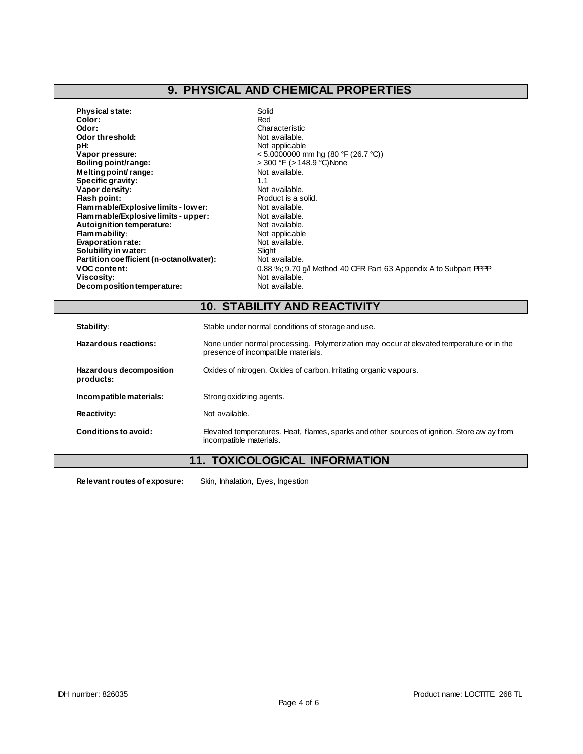# **9. PHYSICAL AND CHEMICAL PROPERTIES**

| <b>Physical state:</b>                   | Solid                                                             |
|------------------------------------------|-------------------------------------------------------------------|
| Color:                                   | Red                                                               |
| Odor:                                    | Characteristic                                                    |
| Odor threshold:                          | Not available.                                                    |
| pH:                                      | Not applicable                                                    |
| Vapor pressure:                          | <5.0000000 mm hg (80 °F (26.7 °C))                                |
| Boiling point/range:                     | > 300 °F (> 148.9 °C)None                                         |
| Melting point/range:                     | Not available.                                                    |
| Specific gravity:                        | 1.1                                                               |
| Vapor density:                           | Not available.                                                    |
| Flash point:                             | Product is a solid.                                               |
| Flam mable/Explosive limits - lower:     | Not available.                                                    |
| Flammable/Explosive limits - upper:      | Not available.                                                    |
| Autoignition temperature:                | Not available.                                                    |
| Flammability:                            | Not applicable                                                    |
| <b>Evaporation rate:</b>                 | Not available.                                                    |
| Solubility in water:                     | Slight                                                            |
| Partition coefficient (n-octanol/water): | Not available.                                                    |
| <b>VOC content:</b>                      | 0.88 %; 9.70 g/l Method 40 CFR Part 63 Appendix A to Subpart PPPP |
| Viscosity:                               | Not available.                                                    |
| Decomposition temperature:               | Not available.                                                    |

## **10. STABILITY AND REACTIVITY**

| Stability:                           | Stable under normal conditions of storage and use.                                                                              |  |  |
|--------------------------------------|---------------------------------------------------------------------------------------------------------------------------------|--|--|
| Hazardous reactions:                 | None under normal processing. Polymerization may occur at elevated temperature or in the<br>presence of incompatible materials. |  |  |
| Hazardous decomposition<br>products: | Oxides of nitrogen. Oxides of carbon. Irritating organic vapours.                                                               |  |  |
| Incompatible materials:              | Strong oxidizing agents.                                                                                                        |  |  |
| Reactivity:                          | Not available.                                                                                                                  |  |  |
| Conditions to avoid:                 | Elevated temperatures. Heat, flames, sparks and other sources of ignition. Store aw ay from<br>incompatible materials.          |  |  |

## **11. TOXICOLOGICAL INFORMATION**

**Relevant routes of exposure:** Skin, Inhalation, Eyes, Ingestion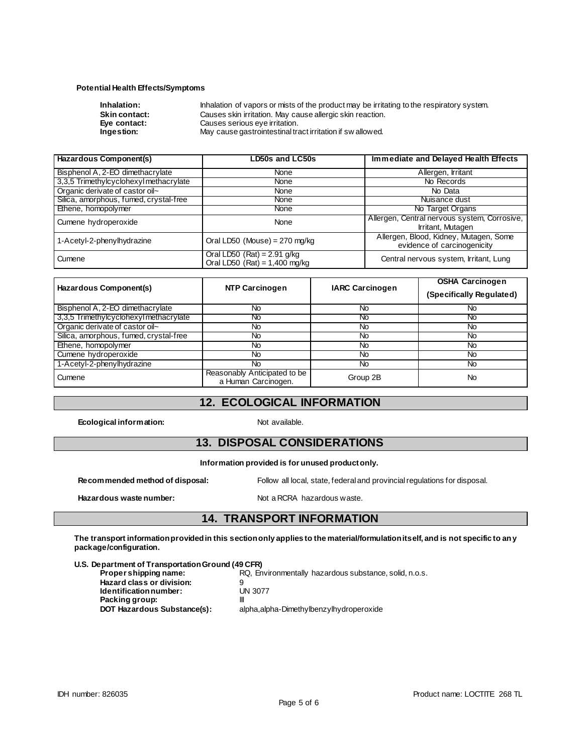#### **Potential Health Effects/Symptoms**

| Inhalation:          | Inhalation of vapors or mists of the product may be irritating to the respiratory system. |
|----------------------|-------------------------------------------------------------------------------------------|
| <b>Skin contact:</b> | Causes skin irritation. May cause allergic skin reaction.                                 |
| Eve contact:         | Causes serious eye irritation.                                                            |
| Ingestion:           | May cause gastrointestinal tract irritation if sw allowed.                                |
|                      |                                                                                           |

| <b>Hazardous Component(s)</b>          | <b>LD50s and LC50s</b>                                           | Immediate and Delayed Health Effects                                  |
|----------------------------------------|------------------------------------------------------------------|-----------------------------------------------------------------------|
| Bisphenol A, 2-EO dimethacrylate       | None                                                             | Allergen, Irritant                                                    |
| 3,3,5 Trimethylcyclohexyl methacrylate | <b>None</b>                                                      | No Records                                                            |
| Organic derivate of castor oil~        | None                                                             | No Data                                                               |
| Silica, amorphous, fumed, crystal-free | <b>None</b>                                                      | Nuisance dust                                                         |
| Ethene, homopolymer                    | <b>None</b>                                                      | No Target Organs                                                      |
| Cumene hydroperoxide                   | None                                                             | Allergen, Central nervous system, Corrosive,<br>Irritant, Mutagen     |
| 1-Acetyl-2-phenylhydrazine             | Oral LD50 (Mouse) = $270$ mg/kg                                  | Allergen, Blood, Kidney, Mutagen, Some<br>evidence of carcinogenicity |
| Cumene                                 | Oral LD50 $(Rat) = 2.91$ g/kg<br>Oral LD50 $(Rat) = 1,400$ mg/kg | Central nervous system, Irritant, Lung                                |

| Hazardous Component(s)                 | <b>NTP Carcinogen</b>                               | <b>IARC Carcinogen</b> | <b>OSHA Carcinogen</b><br>(Specifically Regulated) |
|----------------------------------------|-----------------------------------------------------|------------------------|----------------------------------------------------|
| Bisphenol A, 2-EO dimethacrylate       | No                                                  | No                     | No                                                 |
| 3,3,5 Trimethylcyclohexyl methacrylate | No.                                                 | No                     | No                                                 |
| Organic derivate of castor oil~        | No                                                  | No                     | No                                                 |
| Silica, amorphous, fumed, crystal-free | No.                                                 | No                     | <b>No</b>                                          |
| Ethene, homopolymer                    | No.                                                 | No                     | <b>No</b>                                          |
| Cumene hydroperoxide                   | No.                                                 | <b>No</b>              | No                                                 |
| 1-Acetyl-2-phenylhydrazine             | No.                                                 | No                     | No                                                 |
| Cumene                                 | Reasonably Anticipated to be<br>a Human Carcinogen. | Group 2B               | No                                                 |

#### **12. ECOLOGICAL INFORMATION**

**Ecological information:** Not available.

### **13. DISPOSAL CONSIDERATIONS**

#### **Information provided is for unused product only.**

Hazardous waste number: Not a RCRA hazardous waste.

**Recommended method of disposal:** Follow all local, state, federal and provincial regulations for disposal.

### **14. TRANSPORT INFORMATION**

**The transport information provided in this section only applies to the material/formulation itself, and is not specific to any package/configuration.**

**U.S. Department of Transportation Ground (49 CFR)**

**Proper shipping name:** RQ, Environmentally hazardous substance, solid, n.o.s.

**Hazard class or division:** 9<br> **Identification number:** UN 3077  $Identification number:$ **Packing group:** III<br>**DOT Hazardous Substance(s):** al

alpha,alpha-Dimethylbenzylhydroperoxide